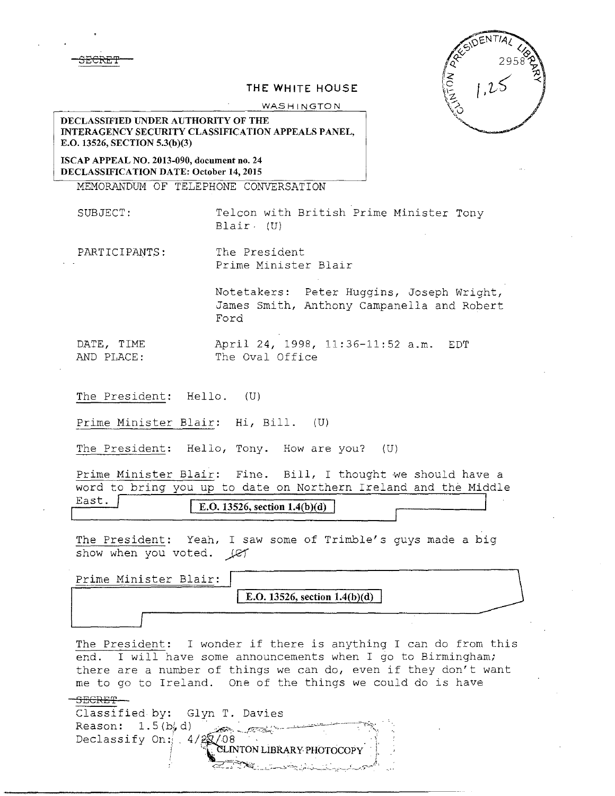3ECRE'f



## THE WHITE HOUSE

WASHINGTON

DECLASSIFIED UNDER AUTHORITY OF THE INTERAGENCY SECURITY CLASSIFICATION APPEALS PANEL, E.O. 13526, SECTION 5.3(b)(3)

ISCAP APPEAL NO. 2013-090, document no. 24 DECLASSIFICATION DATE: October 14, 2015

MEMORANDUM OF TELEPHONE CONVERSATION

SUBJECT: Telcon with British Prime Minister Tony Blair. (U)

PARTICIPANTS: The President Prime Minister Blair

> Notetakers: Peter Huggins, Joseph Wright, James Smith, Anthony Campanella and Robert Ford

DATE, TIME April 24, 1998, 11:36-11:52 a.m. EDT The Oval Office

The President: Hello. (U)

Prime Minister Blair: Hi, Bill. (U)

The President: Hello, Tony. How are you?  $(U)$ 

Prime Minister Blair: Fine. Bill, I thought we should have a word to bring you up to date on Northern Ireland and the Middle

East.  $\sqrt{\text{E.O. 13526, section 1.4(b)(d)}}$ 

The President: Yeah, I saw some of Trimble's guys made a big show when you voted.  $\text{LET}$ 

| Prime Minister Blair: |                                 |
|-----------------------|---------------------------------|
|                       | E.O. 13526, section $1.4(b)(d)$ |
|                       |                                 |

The President: I wonder if there is anything I can do from this end. I will have some announcements when I go to Birmingham; there are a number of things we can do, even if they don't want me to go to Ireland. One of the things we could do is have

-!,.:'::\_ - - - ~..;:\_\_\_\_\_\_ .\_.....\_.,\_~ ~~-r ....,.......\_~-~ ~ -~-.),...\_,..-\_'"?'-'-"'

## SECRET

Classified by: Glyn T. Davies Reason:  $1.5(b, d)$ Declassify On:  $4/2$  $2/08$ ------"-~-·-----~"\. i. CLINTON LIBRARY PHOTOCOPY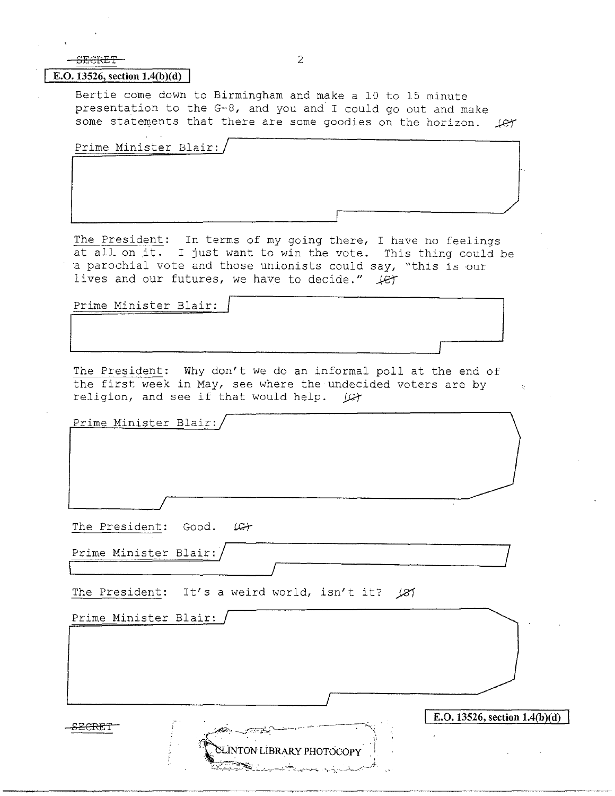| 2                                                                                                                                                                                                                                                         |                                 |
|-----------------------------------------------------------------------------------------------------------------------------------------------------------------------------------------------------------------------------------------------------------|---------------------------------|
| E.O. 13526, section $1.4(b)(d)$                                                                                                                                                                                                                           |                                 |
| Bertie come down to Birmingham and make a 10 to 15 minute<br>presentation to the G-8, and you and I could go out and make<br>some statements that there are some goodies on the horizon. (er                                                              |                                 |
| Prime Minister Blair:                                                                                                                                                                                                                                     |                                 |
|                                                                                                                                                                                                                                                           |                                 |
|                                                                                                                                                                                                                                                           |                                 |
|                                                                                                                                                                                                                                                           |                                 |
|                                                                                                                                                                                                                                                           |                                 |
| The President: In terms of my going there, I have no feelings<br>at all on it. I just want to win the vote. This thing could be<br>a parochial vote and those unionists could say, "this is our<br>lives and our futures, we have to decide." $\text{\#}$ |                                 |
| Prime Minister Blair:                                                                                                                                                                                                                                     |                                 |
|                                                                                                                                                                                                                                                           |                                 |
|                                                                                                                                                                                                                                                           |                                 |
|                                                                                                                                                                                                                                                           |                                 |
| The President: Why don't we do an informal poll at the end of<br>the first week in May, see where the undecided voters are by<br>religion, and see if that would help. (C)                                                                                | 办                               |
| Prime Minister Blair:                                                                                                                                                                                                                                     |                                 |
|                                                                                                                                                                                                                                                           |                                 |
|                                                                                                                                                                                                                                                           |                                 |
| The President: Good. (G)                                                                                                                                                                                                                                  |                                 |
| Prime Minister Blair:                                                                                                                                                                                                                                     |                                 |
|                                                                                                                                                                                                                                                           |                                 |
| The President: It's a weird world, isn't it? (8)                                                                                                                                                                                                          |                                 |
| Prime Minister Blair:                                                                                                                                                                                                                                     |                                 |
|                                                                                                                                                                                                                                                           |                                 |
|                                                                                                                                                                                                                                                           |                                 |
|                                                                                                                                                                                                                                                           |                                 |
|                                                                                                                                                                                                                                                           |                                 |
|                                                                                                                                                                                                                                                           |                                 |
|                                                                                                                                                                                                                                                           | E.O. 13526, section $1.4(b)(d)$ |
| CLINTON LIBRARY PHOTOCOPY                                                                                                                                                                                                                                 |                                 |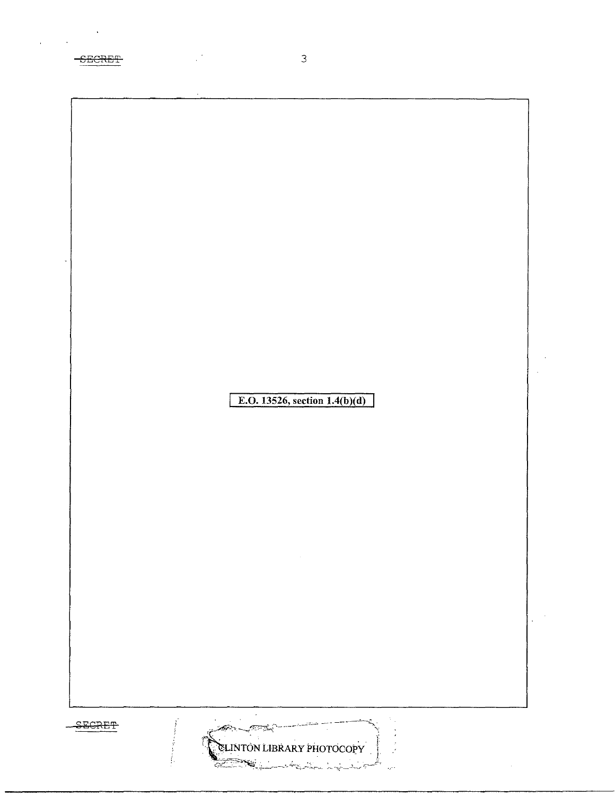| $\ddot{\phantom{a}}$ |        |                |                                  |              |  |
|----------------------|--------|----------------|----------------------------------|--------------|--|
|                      |        |                |                                  |              |  |
|                      |        |                |                                  |              |  |
|                      |        |                |                                  |              |  |
|                      |        |                |                                  |              |  |
|                      |        |                |                                  |              |  |
|                      |        |                |                                  |              |  |
|                      |        |                |                                  |              |  |
|                      |        |                | E.O. 13526, section $1.4(b)(d)$  |              |  |
|                      |        |                |                                  |              |  |
|                      |        |                |                                  |              |  |
|                      |        |                |                                  |              |  |
|                      |        |                |                                  |              |  |
|                      |        |                |                                  |              |  |
|                      |        |                |                                  |              |  |
|                      |        |                |                                  |              |  |
|                      |        |                |                                  |              |  |
|                      |        |                |                                  |              |  |
|                      |        |                |                                  |              |  |
|                      |        |                |                                  |              |  |
|                      |        |                |                                  |              |  |
|                      |        |                |                                  |              |  |
|                      |        |                |                                  |              |  |
|                      |        |                |                                  |              |  |
|                      |        |                |                                  |              |  |
|                      |        |                |                                  |              |  |
|                      |        |                |                                  |              |  |
|                      |        |                |                                  |              |  |
|                      | SECRET | سرائيتين سنتصل |                                  |              |  |
|                      |        |                | <b>CLINTON LIBRARY PHOTOCOPY</b> |              |  |
|                      |        |                |                                  | $\hat{\phi}$ |  |

 $\ddot{\phantom{a}}$ 

SEGRET 

 $\mathfrak{Z}$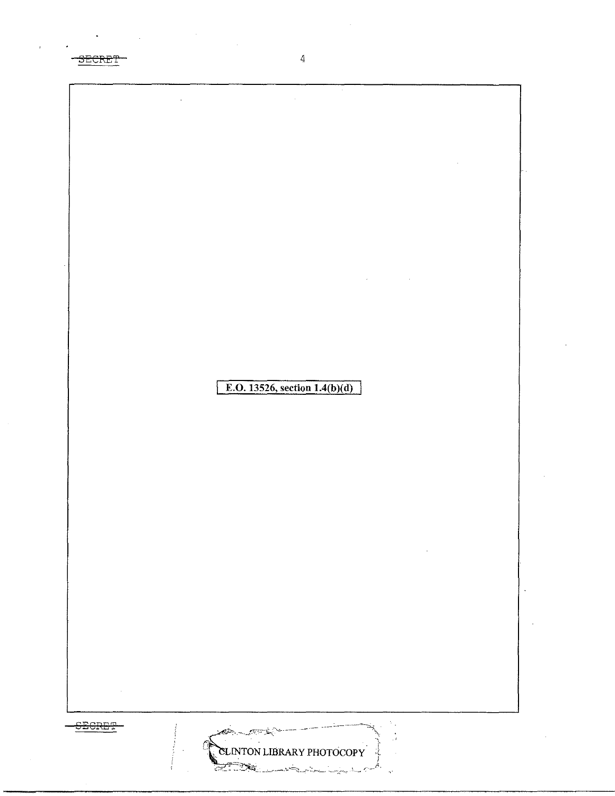$\overline{4}$ SECRET E.O. 13526, section  $1.4(b)(d)$ **SECRET** فأستعجب СS. **CLINTON LIBRARY PHOTOCOPY**  $\sum_{i=1}^n a_i$ 

ñ,

Ų.

ري.<br>سال <sub>جم</sub>يري پيو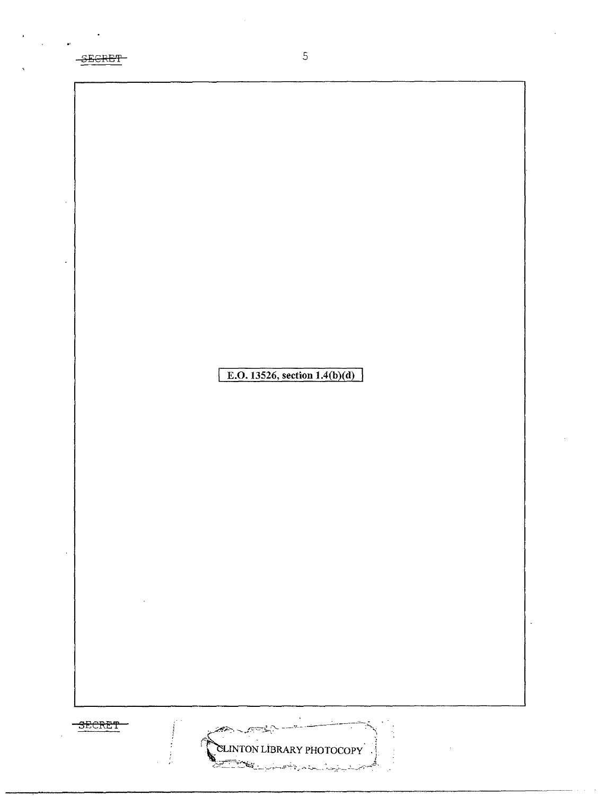-SECRET

E.O. 13526, section  $1.4(b)(d)$ 

 $\overline{5}$ 





n.